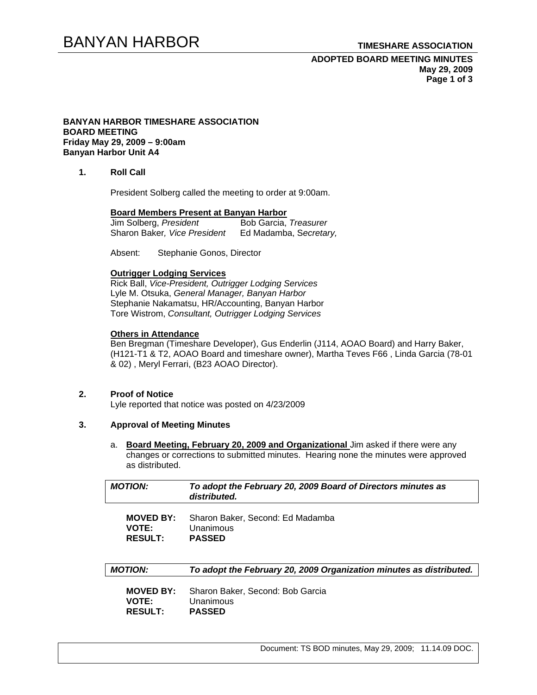## BANYAN HARBOR **TIMESHARE ASSOCIATION**

### **ADOPTED BOARD MEETING MINUTES May 29, 2009 Page 1 of 3**

#### **BANYAN HARBOR TIMESHARE ASSOCIATION BOARD MEETING Friday May 29, 2009 – 9:00am Banyan Harbor Unit A4**

**1. Roll Call** 

President Solberg called the meeting to order at 9:00am.

# **Board Members Present at Banyan Harbor**

Jim Solberg, President Sharon Baker*, Vice President* Ed Madamba, S*ecretary,*

Absent: Stephanie Gonos, Director

#### **Outrigger Lodging Services**

Rick Ball, *Vice-President, Outrigger Lodging Services* Lyle M. Otsuka, *General Manager, Banyan Harbor*  Stephanie Nakamatsu, HR/Accounting, Banyan Harbor Tore Wistrom, *Consultant, Outrigger Lodging Services* 

#### **Others in Attendance**

Ben Bregman (Timeshare Developer), Gus Enderlin (J114, AOAO Board) and Harry Baker, (H121-T1 & T2, AOAO Board and timeshare owner), Martha Teves F66 , Linda Garcia (78-01 & 02) , Meryl Ferrari, (B23 AOAO Director).

#### **2. Proof of Notice**

Lyle reported that notice was posted on 4/23/2009

## **3. Approval of Meeting Minutes**

a. **Board Meeting, February 20, 2009 and Organizational** Jim asked if there were any changes or corrections to submitted minutes. Hearing none the minutes were approved as distributed.

| <b>MOTION:</b>   | To adopt the February 20, 2009 Board of Directors minutes as<br>distributed. |
|------------------|------------------------------------------------------------------------------|
| <b>MOVED BY:</b> | Sharon Baker, Second: Ed Madamba                                             |
| <b>VOTE:</b>     | Unanimous                                                                    |
| <b>RESULT:</b>   | <b>PASSED</b>                                                                |
| <b>MOTION:</b>   | To adopt the February 20, 2009 Organization minutes as distributed.          |
| <b>MOVED BY:</b> | Sharon Baker, Second: Bob Garcia                                             |
| <b>VOTE:</b>     | Unanimous                                                                    |
| <b>RESULT:</b>   | <b>PASSED</b>                                                                |

Document: TS BOD minutes, May 29, 2009; 11.14.09 DOC.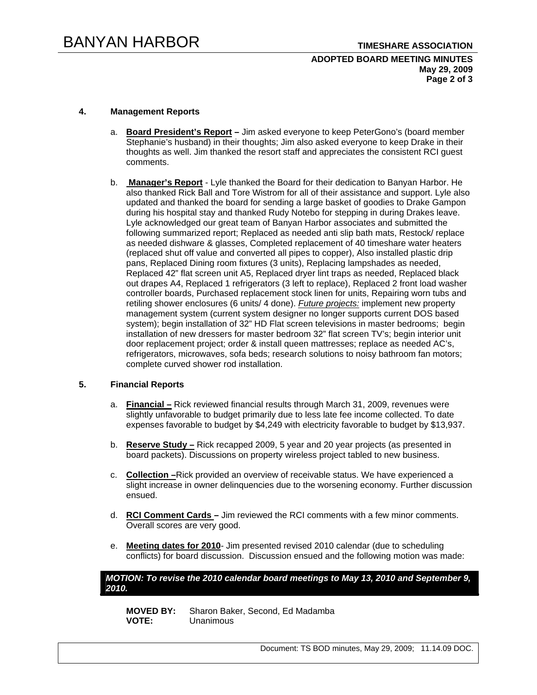#### **ADOPTED BOARD MEETING MINUTES May 29, 2009 Page 2 of 3**

#### **4. Management Reports**

- a. **Board President's Report** Jim asked everyone to keep PeterGono's (board member Stephanie's husband) in their thoughts; Jim also asked everyone to keep Drake in their thoughts as well. Jim thanked the resort staff and appreciates the consistent RCI guest comments.
- b. **Manager's Report** Lyle thanked the Board for their dedication to Banyan Harbor. He also thanked Rick Ball and Tore Wistrom for all of their assistance and support. Lyle also updated and thanked the board for sending a large basket of goodies to Drake Gampon during his hospital stay and thanked Rudy Notebo for stepping in during Drakes leave. Lyle acknowledged our great team of Banyan Harbor associates and submitted the following summarized report; Replaced as needed anti slip bath mats, Restock/ replace as needed dishware & glasses, Completed replacement of 40 timeshare water heaters (replaced shut off value and converted all pipes to copper), Also installed plastic drip pans, Replaced Dining room fixtures (3 units), Replacing lampshades as needed, Replaced 42" flat screen unit A5, Replaced dryer lint traps as needed, Replaced black out drapes A4, Replaced 1 refrigerators (3 left to replace), Replaced 2 front load washer controller boards, Purchased replacement stock linen for units, Repairing worn tubs and retiling shower enclosures (6 units/ 4 done). *Future projects:* implement new property management system (current system designer no longer supports current DOS based system); begin installation of 32" HD Flat screen televisions in master bedrooms; begin installation of new dressers for master bedroom 32" flat screen TV's; begin interior unit door replacement project; order & install queen mattresses; replace as needed AC's, refrigerators, microwaves, sofa beds; research solutions to noisy bathroom fan motors; complete curved shower rod installation.

#### **5. Financial Reports**

- a. **Financial –** Rick reviewed financial results through March 31, 2009, revenues were slightly unfavorable to budget primarily due to less late fee income collected. To date expenses favorable to budget by \$4,249 with electricity favorable to budget by \$13,937.
- b. **Reserve Study –** Rick recapped 2009, 5 year and 20 year projects (as presented in board packets). Discussions on property wireless project tabled to new business.
- c. **Collection –**Rick provided an overview of receivable status. We have experienced a slight increase in owner delinquencies due to the worsening economy. Further discussion ensued.
- d. **RCI Comment Cards** Jim reviewed the RCI comments with a few minor comments. Overall scores are very good.
- e. **Meeting dates for 2010** Jim presented revised 2010 calendar (due to scheduling conflicts) for board discussion. Discussion ensued and the following motion was made:

#### *MOTION: To revise the 2010 calendar board meetings to May 13, 2010 and September 9, 2010.*

**MOVED BY:** Sharon Baker, Second, Ed Madamba **VOTE:** Unanimous